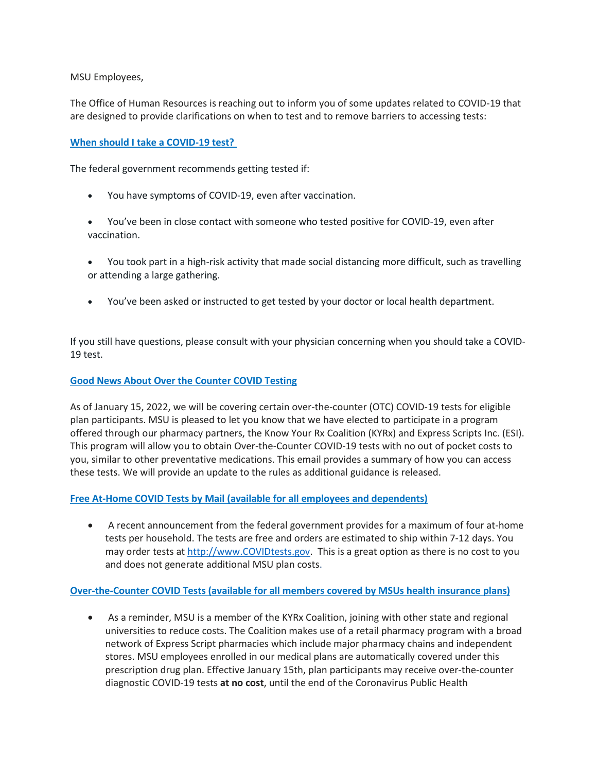MSU Employees,

The Office of Human Resources is reaching out to inform you of some updates related to COVID-19 that are designed to provide clarifications on when to test and to remove barriers to accessing tests:

# **When should I take a COVID-19 test?**

The federal government recommends getting tested if:

- You have symptoms of COVID-19, even after vaccination.
- You've been in close contact with someone who tested positive for COVID-19, even after vaccination.
- You took part in a high-risk activity that made social distancing more difficult, such as travelling or attending a large gathering.
- You've been asked or instructed to get tested by your doctor or local health department.

If you still have questions, please consult with your physician concerning when you should take a COVID-19 test.

### **Good News About Over the Counter COVID Testing**

As of January 15, 2022, we will be covering certain over-the-counter (OTC) COVID-19 tests for eligible plan participants. MSU is pleased to let you know that we have elected to participate in a program offered through our pharmacy partners, the Know Your Rx Coalition (KYRx) and Express Scripts Inc. (ESI). This program will allow you to obtain Over-the-Counter COVID-19 tests with no out of pocket costs to you, similar to other preventative medications. This email provides a summary of how you can access these tests. We will provide an update to the rules as additional guidance is released.

## **Free At-Home COVID Tests by Mail (available for all employees and dependents)**

• A recent announcement from the federal government provides for a maximum of four at-home tests per household. The tests are free and orders are estimated to ship within 7-12 days. You may order tests at [http://www.COVIDtests.gov.](https://nam12.safelinks.protection.outlook.com/?url=http%3A%2F%2Fwww.covidtests.gov%2F&data=04%7C01%7Cd.ullrich%40moreheadstate.edu%7Cb2731424579241d000e308d9e1c14f66%7C6135a844853b4b8c9020ae7f7ccf6c22%7C0%7C0%7C637789042760980926%7CUnknown%7CTWFpbGZsb3d8eyJWIjoiMC4wLjAwMDAiLCJQIjoiV2luMzIiLCJBTiI6Ik1haWwiLCJXVCI6Mn0%3D%7C3000&sdata=u87bzfY%2FEIsbX851bWOZvIo3y8stduamV278sD0v%2BXI%3D&reserved=0) This is a great option as there is no cost to you and does not generate additional MSU plan costs.

## **Over-the-Counter COVID Tests (available for all members covered by MSUs health insurance plans)**

• As a reminder, MSU is a member of the KYRx Coalition, joining with other state and regional universities to reduce costs. The Coalition makes use of a retail pharmacy program with a broad network of Express Script pharmacies which include major pharmacy chains and independent stores. MSU employees enrolled in our medical plans are automatically covered under this prescription drug plan. Effective January 15th, plan participants may receive over-the-counter diagnostic COVID-19 tests **at no cost**, until the end of the Coronavirus Public Health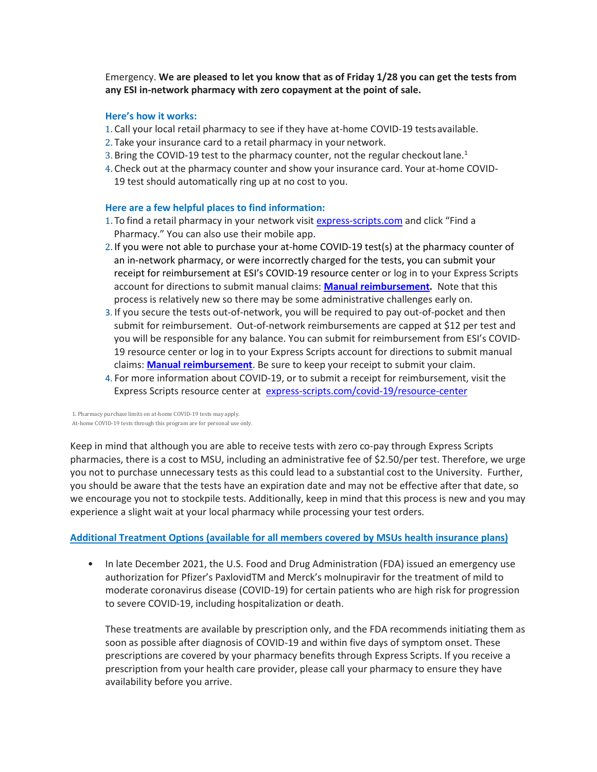Emergency. **We are pleased to let you know that as of Friday 1/28 you can get the tests from any ESI in-network pharmacy with zero copayment at the point of sale.**

#### **Here's how it works:**

- 1. Call your local retail pharmacy to see if they have at-home COVID-19 testsavailable.
- 2. Take your insurance card to a retail pharmacy in your network.
- 3. Bring the COVID-19 test to the pharmacy counter, not the regular checkout lane.<sup>1</sup>
- 4. Check out at the pharmacy counter and show your insurance card. Your at-home COVID-19 test should automatically ring up at no cost to you.

#### **Here are a few helpful places to find information:**

- 1. To find a retail pharmacy in your network visit [express-scripts.com](https://nam12.safelinks.protection.outlook.com/?url=http%3A%2F%2Fexpress-scripts.com%2F&data=04%7C01%7Cd.ullrich%40moreheadstate.edu%7Cb2731424579241d000e308d9e1c14f66%7C6135a844853b4b8c9020ae7f7ccf6c22%7C0%7C0%7C637789042760980926%7CUnknown%7CTWFpbGZsb3d8eyJWIjoiMC4wLjAwMDAiLCJQIjoiV2luMzIiLCJBTiI6Ik1haWwiLCJXVCI6Mn0%3D%7C3000&sdata=BuhjMex6%2FuGpfnW4EBdm1nVeKKCZTP7QlNRRE74A3sY%3D&reserved=0) and click "Find a Pharmacy." You can also use their mobile app.
- 2. If you were not able to purchase your at-home COVID-19 test(s) at the pharmacy counter of an in-network pharmacy, or were incorrectly charged for the tests, you can submit your receipt for reimbursement at ESI's COVID-19 resource center or log in to your Express Scripts account for directions to submit manual claims: **Manual [reimbursement.](https://nam12.safelinks.protection.outlook.com/?url=https%3A%2F%2Fwww.express-scripts.com%2Fcovid-19%2Fresource-center&data=04%7C01%7Cd.ullrich%40moreheadstate.edu%7Cb2731424579241d000e308d9e1c14f66%7C6135a844853b4b8c9020ae7f7ccf6c22%7C0%7C0%7C637789042760980926%7CUnknown%7CTWFpbGZsb3d8eyJWIjoiMC4wLjAwMDAiLCJQIjoiV2luMzIiLCJBTiI6Ik1haWwiLCJXVCI6Mn0%3D%7C3000&sdata=vDjhVg2AoWPjsVHVPgOSSZjPnU6obqS5yWPxi5R3T%2BA%3D&reserved=0)** Note that this process is relatively new so there may be some administrative challenges early on.
- 3. If you secure the tests out-of-network, you will be required to pay out-of-pocket and then submit for reimbursement. Out-of-network reimbursements are capped at \$12 per test and you will be responsible for any balance. You can submit for reimbursement from ESI's COVID-19 resource center or log in to your Express Scripts account for directions to submit manual claims: **Manual [reimbursement](https://nam12.safelinks.protection.outlook.com/?url=https%3A%2F%2Fwww.express-scripts.com%2Fcovid-19%2Fresource-center&data=04%7C01%7Cd.ullrich%40moreheadstate.edu%7Cb2731424579241d000e308d9e1c14f66%7C6135a844853b4b8c9020ae7f7ccf6c22%7C0%7C0%7C637789042760980926%7CUnknown%7CTWFpbGZsb3d8eyJWIjoiMC4wLjAwMDAiLCJQIjoiV2luMzIiLCJBTiI6Ik1haWwiLCJXVCI6Mn0%3D%7C3000&sdata=vDjhVg2AoWPjsVHVPgOSSZjPnU6obqS5yWPxi5R3T%2BA%3D&reserved=0)**. Be sure to keep your receipt to submit your claim.
- 4. For more information about COVID-19, or to submit a receipt for reimbursement, visit the Express Scripts resource center at [express-scripts.com/covid-19/resource-center](https://nam12.safelinks.protection.outlook.com/?url=http%3A%2F%2Fexpress-scripts.com%2Fcovid-19%2Fresource-center&data=04%7C01%7Cd.ullrich%40moreheadstate.edu%7Cb2731424579241d000e308d9e1c14f66%7C6135a844853b4b8c9020ae7f7ccf6c22%7C0%7C0%7C637789042760980926%7CUnknown%7CTWFpbGZsb3d8eyJWIjoiMC4wLjAwMDAiLCJQIjoiV2luMzIiLCJBTiI6Ik1haWwiLCJXVCI6Mn0%3D%7C3000&sdata=MlIP%2BVB7c8PG29jigULX454qN6KdgZMD3Zl8SDOq8EE%3D&reserved=0)

1. Pharmacy purchase limits on at-home COVID-19 tests may apply. At-home COVID-19 tests through this program are for personal use only.

Keep in mind that although you are able to receive tests with zero co-pay through Express Scripts pharmacies, there is a cost to MSU, including an administrative fee of \$2.50/per test. Therefore, we urge you not to purchase unnecessary tests as this could lead to a substantial cost to the University. Further, you should be aware that the tests have an expiration date and may not be effective after that date, so we encourage you not to stockpile tests. Additionally, keep in mind that this process is new and you may experience a slight wait at your local pharmacy while processing your test orders.

#### **Additional Treatment Options (available for all members covered by MSUs health insurance plans)**

• In late December 2021, the U.S. Food and Drug Administration (FDA) issued an emergency use authorization for Pfizer's PaxlovidTM and Merck's molnupiravir for the treatment of mild to moderate coronavirus disease (COVID-19) for certain patients who are high risk for progression to severe COVID-19, including hospitalization or death.

These treatments are available by prescription only, and the FDA recommends initiating them as soon as possible after diagnosis of COVID-19 and within five days of symptom onset. These prescriptions are covered by your pharmacy benefits through Express Scripts. If you receive a prescription from your health care provider, please call your pharmacy to ensure they have availability before you arrive.